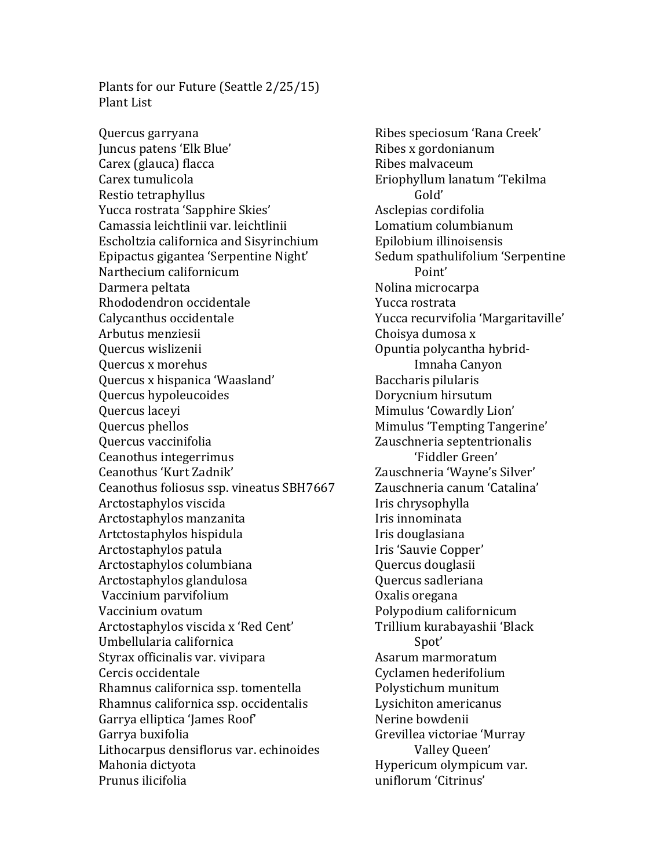Plants for our Future (Seattle  $2/25/15$ ) Plant List

Quercus garryana **Ribes** speciosum 'Rana Creek' Juncus patens 'Elk Blue' The Contract Ribes x gordonianum Carex (glauca) flacca compared a Ribes malvaceum Carex tumulicola **Exercise Exercise Exercise Exercise Exercise Exercise A** Restio tetraphyllus Gold' Yucca rostrata 'Sapphire Skies' Asclepias cordifolia Camassia leichtlinii var. leichtlinii Lomatium columbianum Escholtzia californica and Sisyrinchium Epilobium illinoisensis Epipactus gigantea 'Serpentine Night' Sedum spathulifolium 'Serpentine Narthecium californicum **Point'** Point' Darmera peltata  $\blacksquare$ Rhododendron occidentale The Yucca rostrata Calycanthus occidentale The Margaritaville' Calycanthus occidentale Vucca recurvifolia 'Margaritaville' Arbutus menziesii and a choisya dumosa x Quercus wislizenii and a control of Countil Opuntia polycantha hybrid-Quercus x morehus **Imnaha** Canyon Quercus x hispanica 'Waasland' Baccharis pilularis Quercus hypoleucoides **Dorycnium** hirsutum Quercus laceyi **Mimulus** 'Cowardly Lion' Quercus phellos **Mimulus** 'Tempting Tangerine' Quercus vaccinifolia and a controller a Zauschneria septentrionalis Ceanothus integerrimus integer in the set of the control of the control of the control of the control of the control of the control of the control of the control of the control of the control of the control of the control Ceanothus 'Kurt Zadnik' The Causchneria 'Wayne's Silver' Ceanothus foliosus ssp. vineatus SBH7667 Zauschneria canum 'Catalina' Arctostaphylos viscida in the Iris chrysophylla Arctostaphylos manzanita **If the Contract Contract and Arctostaphylos manzanita** Iris innominata Artctostaphylos hispidula Iris douglasiana Arctostaphylos patula **International Iris** 'Sauvie Copper' Arctostaphylos columbiana Quercus douglasii Arctostaphylos glandulosa and a quercus sadleriana Vaccinium parvifolium **Oxalis** oregana Vaccinium ovatum exercises and the extended polypodium californicum Arctostaphylos viscida x 'Red Cent' Trillium kurabayashii 'Black Umbellularia californica Spot' Styrax officinalis var. vivipara and the state of Asarum marmoratum Cercis occidentale Cercis occidentale Cyclamen hederifolium Rhamnus californica ssp. tomentella Polystichum munitum Rhamnus californica ssp. occidentalis experiency laysichiton americanus Garrya elliptica 'James Roof' Nerine bowdenii Garrya buxifolia and the controller controller controller to Grevillea victoriae 'Murray Lithocarpus densiflorus var. echinoides Valley Queen' Mahonia dictyota **Mahonia** dictyota **Hypericum** olympicum var. Prunus ilicifolia and a control uniflorum 'Citrinus'